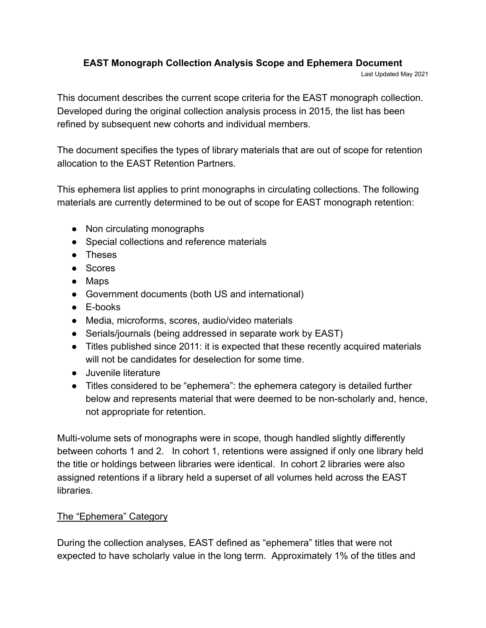## **EAST Monograph Collection Analysis Scope and Ephemera Document**

Last Updated May 2021

This document describes the current scope criteria for the EAST monograph collection. Developed during the original collection analysis process in 2015, the list has been refined by subsequent new cohorts and individual members.

The document specifies the types of library materials that are out of scope for retention allocation to the EAST Retention Partners.

This ephemera list applies to print monographs in circulating collections. The following materials are currently determined to be out of scope for EAST monograph retention:

- Non circulating monographs
- Special collections and reference materials
- Theses
- Scores
- Maps
- Government documents (both US and international)
- E-books
- Media, microforms, scores, audio/video materials
- Serials/journals (being addressed in separate work by EAST)
- Titles published since 2011: it is expected that these recently acquired materials will not be candidates for deselection for some time.
- Juvenile literature
- Titles considered to be "ephemera": the ephemera category is detailed further below and represents material that were deemed to be non-scholarly and, hence, not appropriate for retention.

Multi-volume sets of monographs were in scope, though handled slightly differently between cohorts 1 and 2. In cohort 1, retentions were assigned if only one library held the title or holdings between libraries were identical. In cohort 2 libraries were also assigned retentions if a library held a superset of all volumes held across the EAST libraries.

## The "Ephemera" Category

During the collection analyses, EAST defined as "ephemera" titles that were not expected to have scholarly value in the long term. Approximately 1% of the titles and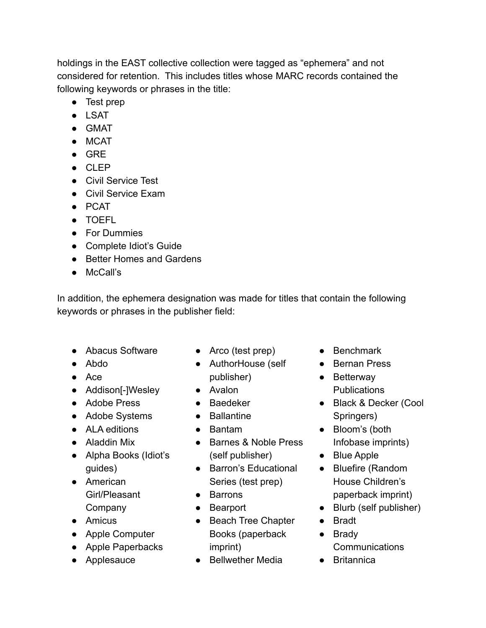holdings in the EAST collective collection were tagged as "ephemera" and not considered for retention. This includes titles whose MARC records contained the following keywords or phrases in the title:

- Test prep
- LSAT
- GMAT
- MCAT
- GRE
- CLEP
- Civil Service Test
- Civil Service Exam
- PCAT
- TOEFL
- For Dummies
- Complete Idiot's Guide
- Better Homes and Gardens
- McCall's

In addition, the ephemera designation was made for titles that contain the following keywords or phrases in the publisher field:

- Abacus Software
- Abdo
- Ace
- Addison[-]Wesley
- Adobe Press
- Adobe Systems
- ALA editions
- Aladdin Mix
- Alpha Books (Idiot's guides)
- American Girl/Pleasant Company
- Amicus
- Apple Computer
- Apple Paperbacks
- Applesauce
- Arco (test prep)
- AuthorHouse (self publisher)
- Avalon
- Baedeker
- Ballantine
- Bantam
- Barnes & Noble Press (self publisher)
- Barron's Educational Series (test prep)
- Barrons
- Bearport
- Beach Tree Chapter Books (paperback imprint)
- Bellwether Media
- Benchmark
- Bernan Press
- Betterway **Publications**
- Black & Decker (Cool Springers)
- Bloom's (both Infobase imprints)
- Blue Apple
- Bluefire (Random House Children's paperback imprint)
- Blurb (self publisher)
- Bradt
- Brady
	- Communications
- Britannica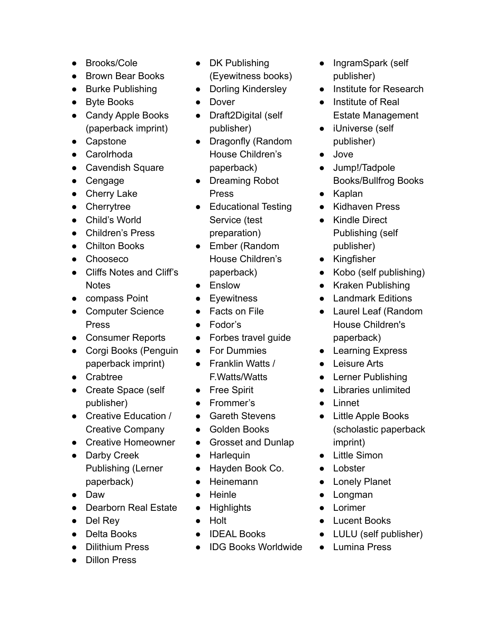- Brooks/Cole
- Brown Bear Books
- Burke Publishing
- Byte Books
- Candy Apple Books (paperback imprint)
- Capstone
- Carolrhoda
- Cavendish Square
- Cengage
- Cherry Lake
- Cherrytree
- Child's World
- Children's Press
- Chilton Books
- Chooseco
- Cliffs Notes and Cliff's **Notes**
- compass Point
- Computer Science Press
- Consumer Reports
- Corgi Books (Penguin paperback imprint)
- Crabtree
- Create Space (self publisher)
- Creative Education / Creative Company
- Creative Homeowner
- Darby Creek Publishing (Lerner paperback)
- Daw
- Dearborn Real Estate
- Del Rev
- Delta Books
- Dilithium Press
- Dillon Press
- DK Publishing (Eyewitness books)
- Dorling Kindersley
- Dover
- Draft2Digital (self publisher)
- Dragonfly (Random House Children's paperback)
- Dreaming Robot Press
- Educational Testing Service (test preparation)
- Ember (Random House Children's paperback)
- Enslow
- Eyewitness
- **Facts on File**
- Fodor's
- Forbes travel guide
- For Dummies
- Franklin Watts / F.Watts/Watts
- Free Spirit
- Frommer's
- Gareth Stevens
- Golden Books
- Grosset and Dunlap
- Harlequin
- Hayden Book Co.
- Heinemann
- Heinle
- Highlights
- Holt
- **IDEAL Books**
- IDG Books Worldwide
- IngramSpark (self publisher)
- Institute for Research
- Institute of Real Estate Management
- iUniverse (self publisher)
- Jove
- Jump!/Tadpole Books/Bullfrog Books
- Kaplan
- Kidhaven Press
- Kindle Direct Publishing (self publisher)
- Kingfisher
- Kobo (self publishing)
- Kraken Publishing
- Landmark Editions
- Laurel Leaf (Random House Children's paperback)
- Learning Express
- Leisure Arts
- Lerner Publishing
- Libraries unlimited
- Linnet
- Little Apple Books (scholastic paperback imprint)
- Little Simon
- Lobster
- Lonely Planet
- Longman
- Lorimer
- Lucent Books
- LULU (self publisher)
- Lumina Press